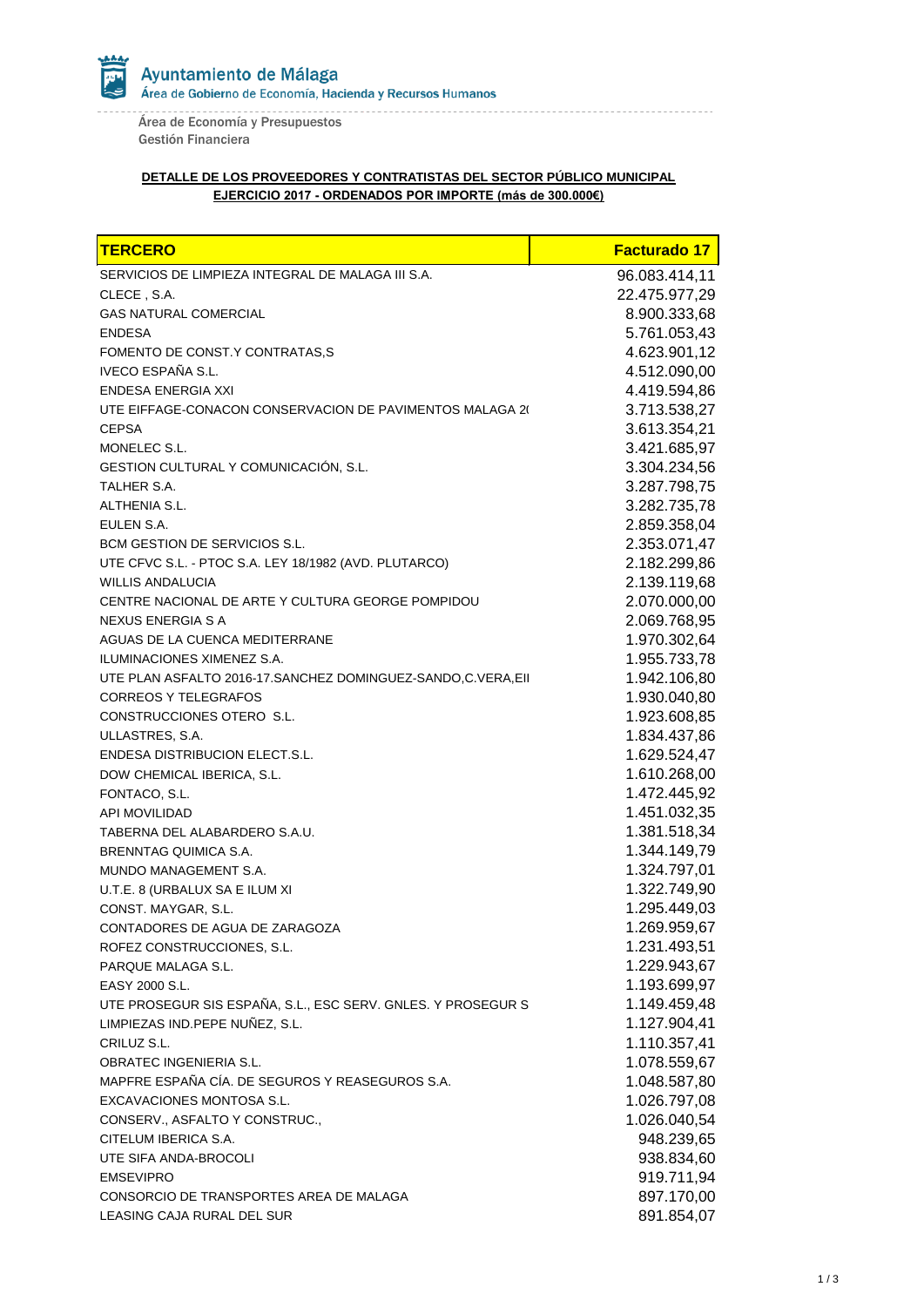Área de Economía y Presupuestos Gestión Financiera

## **DETALLE DE LOS PROVEEDORES Y CONTRATISTAS DEL SECTOR PÚBLICO MUNICIPAL EJERCICIO 2017 - ORDENADOS POR IMPORTE (más de 300.000€)**

| <b>TERCERO</b>                                               | <b>Facturado 17</b> |
|--------------------------------------------------------------|---------------------|
| SERVICIOS DE LIMPIEZA INTEGRAL DE MALAGA III S.A.            | 96.083.414,11       |
| CLECE, S.A.                                                  | 22.475.977,29       |
| <b>GAS NATURAL COMERCIAL</b>                                 | 8.900.333,68        |
| <b>ENDESA</b>                                                | 5.761.053,43        |
| FOMENTO DE CONST.Y CONTRATAS,S                               | 4.623.901,12        |
| IVECO ESPAÑA S.L.                                            | 4.512.090,00        |
| <b>ENDESA ENERGIA XXI</b>                                    | 4.419.594,86        |
| UTE EIFFAGE-CONACON CONSERVACION DE PAVIMENTOS MALAGA 20     | 3.713.538,27        |
| <b>CEPSA</b>                                                 | 3.613.354,21        |
| MONELEC S.L.                                                 | 3.421.685,97        |
| GESTION CULTURAL Y COMUNICACIÓN, S.L.                        | 3.304.234,56        |
| TALHER S.A.                                                  | 3.287.798,75        |
| ALTHENIA S.L.                                                | 3.282.735,78        |
| EULEN S.A.                                                   | 2.859.358,04        |
| <b>BCM GESTION DE SERVICIOS S.L.</b>                         | 2.353.071,47        |
| UTE CFVC S.L. - PTOC S.A. LEY 18/1982 (AVD. PLUTARCO)        | 2.182.299,86        |
| <b>WILLIS ANDALUCIA</b>                                      | 2.139.119,68        |
| CENTRE NACIONAL DE ARTE Y CULTURA GEORGE POMPIDOU            | 2.070.000,00        |
| NEXUS ENERGIA S A                                            | 2.069.768,95        |
| AGUAS DE LA CUENCA MEDITERRANE                               | 1.970.302,64        |
| ILUMINACIONES XIMENEZ S.A.                                   | 1.955.733,78        |
| UTE PLAN ASFALTO 2016-17.SANCHEZ DOMINGUEZ-SANDO,C.VERA,EII  | 1.942.106,80        |
| <b>CORREOS Y TELEGRAFOS</b>                                  | 1.930.040,80        |
| CONSTRUCCIONES OTERO S.L.                                    | 1.923.608,85        |
| ULLASTRES, S.A.                                              | 1.834.437,86        |
| <b>ENDESA DISTRIBUCION ELECT.S.L.</b>                        | 1.629.524,47        |
| DOW CHEMICAL IBERICA, S.L.                                   | 1.610.268,00        |
| FONTACO, S.L.                                                | 1.472.445,92        |
| <b>API MOVILIDAD</b>                                         | 1.451.032,35        |
| TABERNA DEL ALABARDERO S.A.U.                                | 1.381.518,34        |
| BRENNTAG QUIMICA S.A.                                        | 1.344.149,79        |
| MUNDO MANAGEMENT S.A.                                        | 1.324.797,01        |
| U.T.E. 8 (URBALUX SA E ILUM XI                               | 1.322.749,90        |
| CONST. MAYGAR, S.L.                                          | 1.295.449,03        |
| CONTADORES DE AGUA DE ZARAGOZA                               | 1.269.959,67        |
| ROFEZ CONSTRUCCIONES, S.L.                                   | 1.231.493,51        |
| PARQUE MALAGA S.L.                                           | 1.229.943,67        |
| EASY 2000 S.L.                                               | 1.193.699,97        |
| UTE PROSEGUR SIS ESPAÑA, S.L., ESC SERV. GNLES. Y PROSEGUR S | 1.149.459,48        |
| LIMPIEZAS IND.PEPE NUÑEZ, S.L.                               | 1.127.904,41        |
| CRILUZ S.L.                                                  | 1.110.357,41        |
| OBRATEC INGENIERIA S.L.                                      | 1.078.559,67        |
| MAPFRE ESPAÑA CÍA. DE SEGUROS Y REASEGUROS S.A.              | 1.048.587,80        |
| EXCAVACIONES MONTOSA S.L.                                    | 1.026.797,08        |
| CONSERV., ASFALTO Y CONSTRUC.,                               | 1.026.040,54        |
| CITELUM IBERICA S.A.                                         | 948.239,65          |
| UTE SIFA ANDA-BROCOLI                                        | 938.834,60          |
| <b>EMSEVIPRO</b>                                             | 919.711,94          |
| CONSORCIO DE TRANSPORTES AREA DE MALAGA                      | 897.170,00          |
| LEASING CAJA RURAL DEL SUR                                   | 891.854,07          |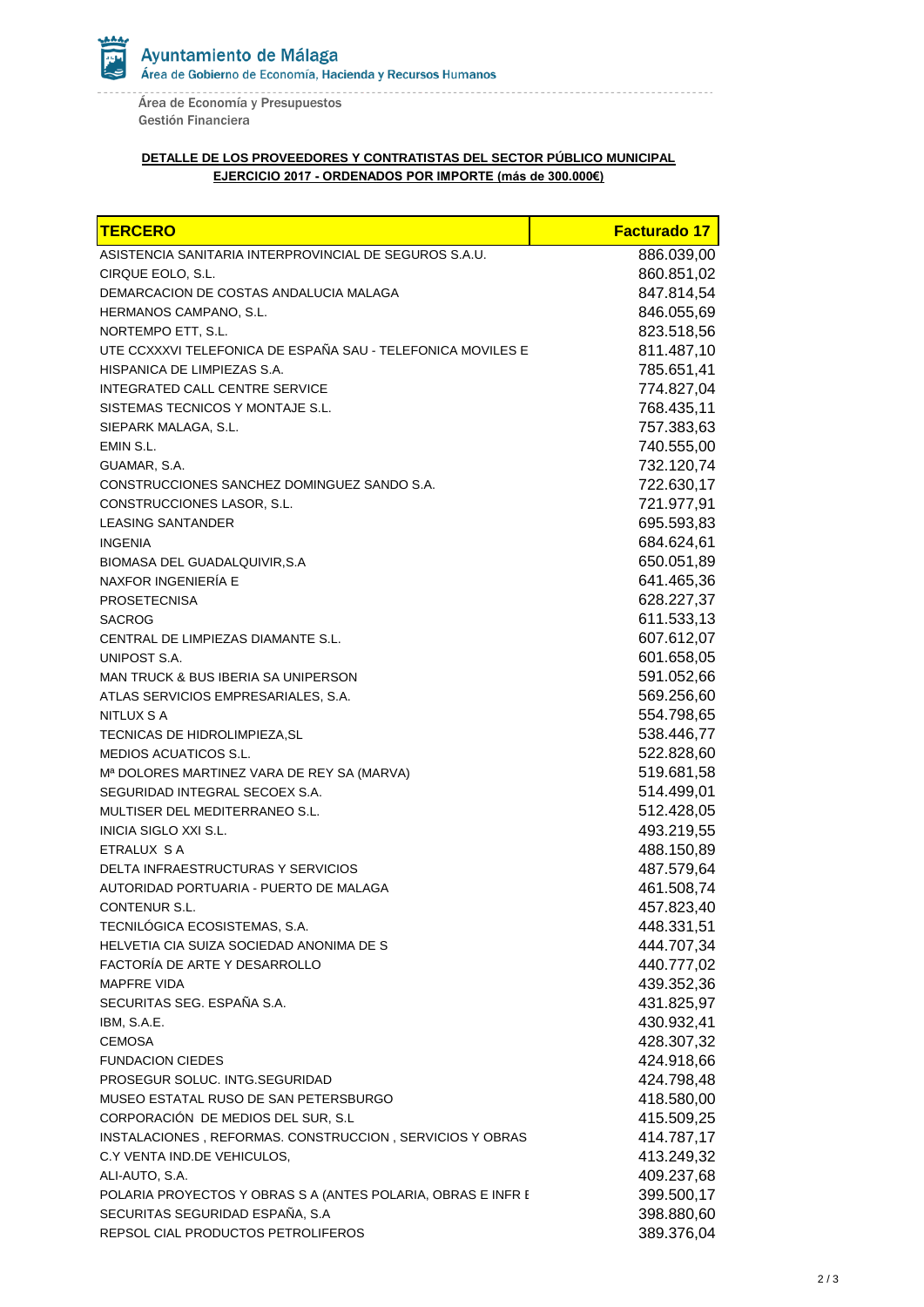

Área de Economía y Presupuestos Gestión Financiera

## **DETALLE DE LOS PROVEEDORES Y CONTRATISTAS DEL SECTOR PÚBLICO MUNICIPAL EJERCICIO 2017 - ORDENADOS POR IMPORTE (más de 300.000€)**

| <b>TERCERO</b>                                               | <b>Facturado 17</b> |
|--------------------------------------------------------------|---------------------|
| ASISTENCIA SANITARIA INTERPROVINCIAL DE SEGUROS S.A.U.       | 886.039,00          |
| CIRQUE EOLO, S.L.                                            | 860.851,02          |
| DEMARCACION DE COSTAS ANDALUCIA MALAGA                       | 847.814,54          |
| HERMANOS CAMPANO, S.L.                                       | 846.055,69          |
| NORTEMPO ETT, S.L.                                           | 823.518,56          |
| UTE CCXXXVI TELEFONICA DE ESPAÑA SAU - TELEFONICA MOVILES E  | 811.487,10          |
| HISPANICA DE LIMPIEZAS S.A.                                  | 785.651,41          |
| INTEGRATED CALL CENTRE SERVICE                               | 774.827,04          |
| SISTEMAS TECNICOS Y MONTAJE S.L.                             | 768.435,11          |
| SIEPARK MALAGA, S.L.                                         | 757.383,63          |
| EMIN S.L.                                                    | 740.555,00          |
| GUAMAR, S.A.                                                 | 732.120,74          |
| CONSTRUCCIONES SANCHEZ DOMINGUEZ SANDO S.A.                  | 722.630,17          |
| CONSTRUCCIONES LASOR, S.L.                                   | 721.977,91          |
| <b>LEASING SANTANDER</b>                                     | 695.593,83          |
| <b>INGENIA</b>                                               | 684.624,61          |
| BIOMASA DEL GUADALQUIVIR, S.A                                | 650.051,89          |
| NAXFOR INGENIERIA E                                          | 641.465,36          |
| <b>PROSETECNISA</b>                                          | 628.227,37          |
| <b>SACROG</b>                                                | 611.533,13          |
| CENTRAL DE LIMPIEZAS DIAMANTE S.L.                           | 607.612,07          |
| UNIPOST S.A.                                                 | 601.658,05          |
| MAN TRUCK & BUS IBERIA SA UNIPERSON                          | 591.052,66          |
| ATLAS SERVICIOS EMPRESARIALES, S.A.                          | 569.256,60          |
| NITLUX S A                                                   | 554.798,65          |
| TECNICAS DE HIDROLIMPIEZA, SL                                | 538.446,77          |
| <b>MEDIOS ACUATICOS S.L.</b>                                 | 522.828,60          |
| Mª DOLORES MARTINEZ VARA DE REY SA (MARVA)                   | 519.681,58          |
| SEGURIDAD INTEGRAL SECOEX S.A.                               | 514.499,01          |
| MULTISER DEL MEDITERRANEO S.L.                               | 512.428,05          |
| INICIA SIGLO XXI S.L.                                        | 493.219,55          |
| ETRALUX S A                                                  | 488.150,89          |
| DELTA INFRAESTRUCTURAS Y SERVICIOS                           | 487.579,64          |
| AUTORIDAD PORTUARIA - PUERTO DE MALAGA                       | 461.508,74          |
| CONTENUR S.L.                                                | 457.823,40          |
| TECNILÓGICA ECOSISTEMAS, S.A.                                | 448.331,51          |
| HELVETIA CIA SUIZA SOCIEDAD ANONIMA DE S                     | 444.707,34          |
| FACTORÍA DE ARTE Y DESARROLLO                                | 440.777,02          |
| <b>MAPFRE VIDA</b>                                           | 439.352,36          |
| SECURITAS SEG. ESPAÑA S.A.                                   | 431.825,97          |
| IBM, S.A.E.                                                  | 430.932,41          |
| <b>CEMOSA</b>                                                | 428.307,32          |
| <b>FUNDACION CIEDES</b>                                      | 424.918,66          |
| PROSEGUR SOLUC. INTG.SEGURIDAD                               | 424.798,48          |
| MUSEO ESTATAL RUSO DE SAN PETERSBURGO                        | 418.580,00          |
| CORPORACIÓN DE MEDIOS DEL SUR, S.L                           | 415.509,25          |
| INSTALACIONES, REFORMAS. CONSTRUCCION, SERVICIOS Y OBRAS     | 414.787,17          |
| C.Y VENTA IND.DE VEHICULOS,                                  | 413.249,32          |
| ALI-AUTO, S.A.                                               | 409.237,68          |
| POLARIA PROYECTOS Y OBRAS S A (ANTES POLARIA, OBRAS E INFR E | 399.500,17          |
| SECURITAS SEGURIDAD ESPAÑA, S.A                              | 398.880,60          |
| REPSOL CIAL PRODUCTOS PETROLIFEROS                           | 389.376,04          |